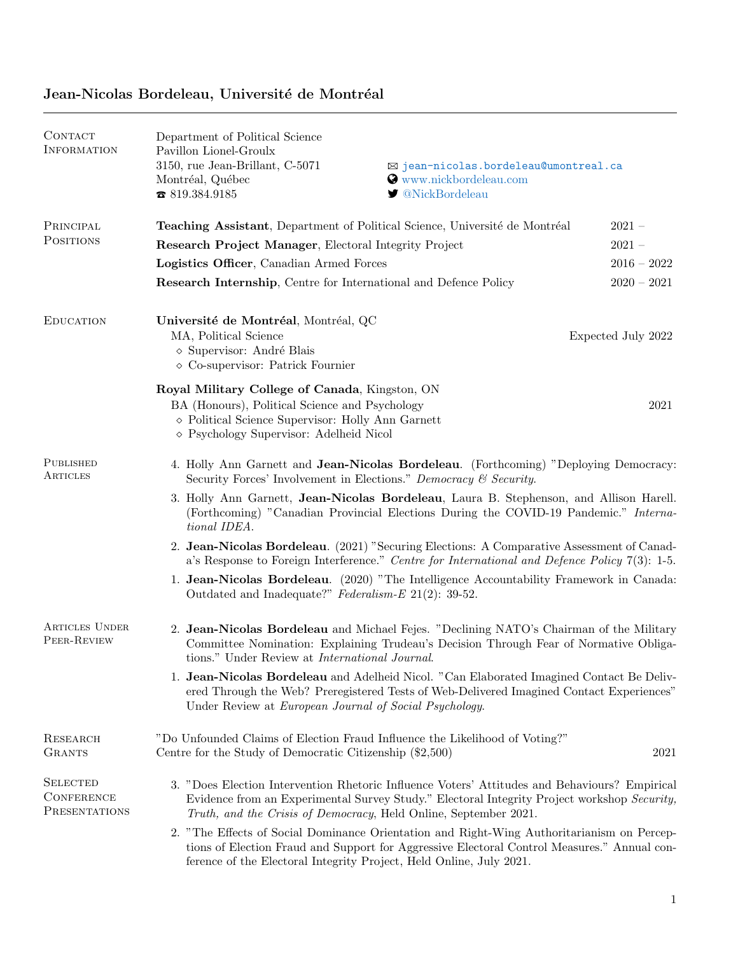| CONTACT<br><b>INFORMATION</b>                         | Department of Political Science<br>Pavillon Lionel-Groulx<br>3150, rue Jean-Brillant, C-5071<br>Montréal, Québec<br>819.384.9185                                                                                                                                 | ⊠ jean-nicolas.bordeleau@umontreal.ca<br><b>O</b> www.nickbordeleau.com<br>■ @NickBordeleau |                    |  |
|-------------------------------------------------------|------------------------------------------------------------------------------------------------------------------------------------------------------------------------------------------------------------------------------------------------------------------|---------------------------------------------------------------------------------------------|--------------------|--|
| PRINCIPAL                                             | <b>Teaching Assistant</b> , Department of Political Science, Université de Montréal                                                                                                                                                                              |                                                                                             | $2021 -$           |  |
| <b>POSITIONS</b>                                      | Research Project Manager, Electoral Integrity Project                                                                                                                                                                                                            |                                                                                             | $2021 -$           |  |
|                                                       | Logistics Officer, Canadian Armed Forces                                                                                                                                                                                                                         |                                                                                             | $2016 - 2022$      |  |
|                                                       | <b>Research Internship, Centre for International and Defence Policy</b>                                                                                                                                                                                          |                                                                                             | $2020 - 2021$      |  |
| <b>EDUCATION</b>                                      | Université de Montréal, Montréal, QC<br>MA, Political Science<br>$\diamond$ Supervisor: André Blais<br>$\diamond$ Co-supervisor: Patrick Fournier                                                                                                                |                                                                                             | Expected July 2022 |  |
|                                                       | Royal Military College of Canada, Kingston, ON<br>BA (Honours), Political Science and Psychology<br>$\diamond$ Political Science Supervisor: Holly Ann Garnett<br>◇ Psychology Supervisor: Adelheid Nicol                                                        |                                                                                             | 2021               |  |
| PUBLISHED<br>ARTICLES                                 | 4. Holly Ann Garnett and Jean-Nicolas Bordeleau. (Forthcoming) "Deploying Democracy:<br>Security Forces' Involvement in Elections." Democracy & Security.                                                                                                        |                                                                                             |                    |  |
|                                                       | 3. Holly Ann Garnett, Jean-Nicolas Bordeleau, Laura B. Stephenson, and Allison Harell.<br>(Forthcoming) "Canadian Provincial Elections During the COVID-19 Pandemic." Interna-<br>tional IDEA.                                                                   |                                                                                             |                    |  |
|                                                       | 2. Jean-Nicolas Bordeleau. (2021) "Securing Elections: A Comparative Assessment of Canad-<br>a's Response to Foreign Interference." Centre for International and Defence Policy 7(3): 1-5.                                                                       |                                                                                             |                    |  |
|                                                       | 1. Jean-Nicolas Bordeleau. (2020) "The Intelligence Accountability Framework in Canada:<br>Outdated and Inadequate?" Federalism-E $21(2)$ : 39-52.                                                                                                               |                                                                                             |                    |  |
| <b>ARTICLES UNDER</b><br>PEER-REVIEW                  | 2. Jean-Nicolas Bordeleau and Michael Fejes. "Declining NATO's Chairman of the Military<br>Committee Nomination: Explaining Trudeau's Decision Through Fear of Normative Obliga-<br>tions." Under Review at International Journal.                               |                                                                                             |                    |  |
|                                                       | 1. Jean-Nicolas Bordeleau and Adelheid Nicol. "Can Elaborated Imagined Contact Be Deliv-<br>ered Through the Web? Preregistered Tests of Web-Delivered Imagined Contact Experiences"<br>Under Review at European Journal of Social Psychology.                   |                                                                                             |                    |  |
| RESEARCH<br><b>GRANTS</b>                             | Centre for the Study of Democratic Citizenship (\$2,500)                                                                                                                                                                                                         | "Do Unfounded Claims of Election Fraud Influence the Likelihood of Voting?"<br>2021         |                    |  |
| <b>SELECTED</b><br><b>CONFERENCE</b><br>PRESENTATIONS | 3. "Does Election Intervention Rhetoric Influence Voters' Attitudes and Behaviours? Empirical<br>Evidence from an Experimental Survey Study." Electoral Integrity Project workshop Security,<br>Truth, and the Crisis of Democracy, Held Online, September 2021. |                                                                                             |                    |  |
|                                                       | 2. "The Effects of Social Dominance Orientation and Right-Wing Authoritarianism on Percep-<br>tions of Election Fraud and Support for Aggressive Electoral Control Measures." Annual con-<br>ference of the Electoral Integrity Project, Held Online, July 2021. |                                                                                             |                    |  |

## Jean-Nicolas Bordeleau, Université de Montréal